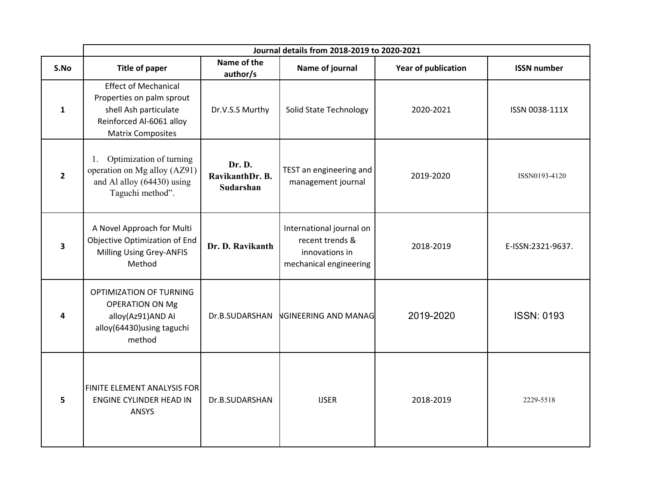|                         | Journal details from 2018-2019 to 2020-2021                                                                                               |                                        |                                                                                         |                            |                    |
|-------------------------|-------------------------------------------------------------------------------------------------------------------------------------------|----------------------------------------|-----------------------------------------------------------------------------------------|----------------------------|--------------------|
| S.No                    | <b>Title of paper</b>                                                                                                                     | Name of the<br>author/s                | Name of journal                                                                         | <b>Year of publication</b> | <b>ISSN number</b> |
| 1                       | <b>Effect of Mechanical</b><br>Properties on palm sprout<br>shell Ash particulate<br>Reinforced Al-6061 alloy<br><b>Matrix Composites</b> | Dr.V.S.S Murthy                        | Solid State Technology                                                                  | 2020-2021                  | ISSN 0038-111X     |
| $\overline{2}$          | Optimization of turning<br>1.<br>operation on Mg alloy (AZ91)<br>and Al alloy (64430) using<br>Taguchi method".                           | Dr. D.<br>RavikanthDr. B.<br>Sudarshan | TEST an engineering and<br>management journal                                           | 2019-2020                  | ISSN0193-4120      |
| $\overline{\mathbf{3}}$ | A Novel Approach for Multi<br>Objective Optimization of End<br><b>Milling Using Grey-ANFIS</b><br>Method                                  | Dr. D. Ravikanth                       | International journal on<br>recent trends &<br>innovations in<br>mechanical engineering | 2018-2019                  | E-ISSN:2321-9637.  |
| 4                       | OPTIMIZATION OF TURNING<br><b>OPERATION ON Mg</b><br>alloy(Az91)AND AI<br>alloy(64430) using taguchi<br>method                            | Dr.B.SUDARSHAN                         | <b>NGINEERING AND MANAG</b>                                                             | 2019-2020                  | <b>ISSN: 0193</b>  |
| 5                       | FINITE ELEMENT ANALYSIS FOR<br><b>ENGINE CYLINDER HEAD IN</b><br>ANSYS                                                                    | Dr.B.SUDARSHAN                         | <b>IJSER</b>                                                                            | 2018-2019                  | 2229-5518          |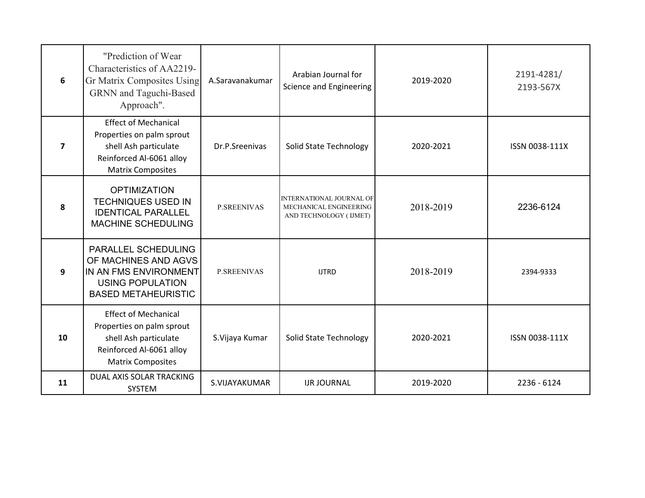| 6              | "Prediction of Wear<br>Characteristics of AA2219-<br>Gr Matrix Composites Using<br>GRNN and Taguchi-Based<br>Approach".                   | A.Saravanakumar    | Arabian Journal for<br>Science and Engineering                                      | 2019-2020 | 2191-4281/<br>2193-567X |
|----------------|-------------------------------------------------------------------------------------------------------------------------------------------|--------------------|-------------------------------------------------------------------------------------|-----------|-------------------------|
| $\overline{7}$ | <b>Effect of Mechanical</b><br>Properties on palm sprout<br>shell Ash particulate<br>Reinforced Al-6061 alloy<br><b>Matrix Composites</b> | Dr.P.Sreenivas     | <b>Solid State Technology</b>                                                       | 2020-2021 | ISSN 0038-111X          |
| 8              | <b>OPTIMIZATION</b><br><b>TECHNIQUES USED IN</b><br><b>IDENTICAL PARALLEL</b><br><b>MACHINE SCHEDULING</b>                                | <b>P.SREENIVAS</b> | <b>INTERNATIONAL JOURNAL OF</b><br>MECHANICAL ENGINEERING<br>AND TECHNOLOGY (IJMET) | 2018-2019 | 2236-6124               |
| 9              | PARALLEL SCHEDULING<br>OF MACHINES AND AGVS<br>IN AN FMS ENVIRONMENT<br><b>USING POPULATION</b><br><b>BASED METAHEURISTIC</b>             | <b>P.SREENIVAS</b> | <b>IJTRD</b>                                                                        | 2018-2019 | 2394-9333               |
| 10             | <b>Effect of Mechanical</b><br>Properties on palm sprout<br>shell Ash particulate<br>Reinforced Al-6061 alloy<br><b>Matrix Composites</b> | S.Vijaya Kumar     | Solid State Technology                                                              | 2020-2021 | ISSN 0038-111X          |
| 11             | DUAL AXIS SOLAR TRACKING<br><b>SYSTEM</b>                                                                                                 | S.VIJAYAKUMAR      | <b>IJR JOURNAL</b>                                                                  | 2019-2020 | 2236 - 6124             |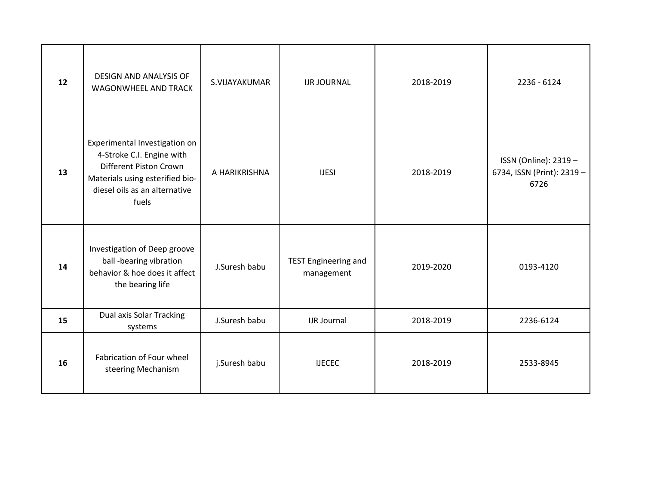| 12 | <b>DESIGN AND ANALYSIS OF</b><br>WAGONWHEEL AND TRACK                                                                                                             | S.VIJAYAKUMAR | <b>IJR JOURNAL</b>                        | 2018-2019 | 2236 - 6124                                                 |
|----|-------------------------------------------------------------------------------------------------------------------------------------------------------------------|---------------|-------------------------------------------|-----------|-------------------------------------------------------------|
| 13 | Experimental Investigation on<br>4-Stroke C.I. Engine with<br>Different Piston Crown<br>Materials using esterified bio-<br>diesel oils as an alternative<br>fuels | A HARIKRISHNA | <b>IJESI</b>                              | 2018-2019 | ISSN (Online): 2319 -<br>6734, ISSN (Print): 2319 -<br>6726 |
| 14 | Investigation of Deep groove<br>ball -bearing vibration<br>behavior & hoe does it affect<br>the bearing life                                                      | J.Suresh babu | <b>TEST Engineering and</b><br>management | 2019-2020 | 0193-4120                                                   |
| 15 | <b>Dual axis Solar Tracking</b><br>systems                                                                                                                        | J.Suresh babu | <b>IJR Journal</b>                        | 2018-2019 | 2236-6124                                                   |
| 16 | Fabrication of Four wheel<br>steering Mechanism                                                                                                                   | j.Suresh babu | <b>IJECEC</b>                             | 2018-2019 | 2533-8945                                                   |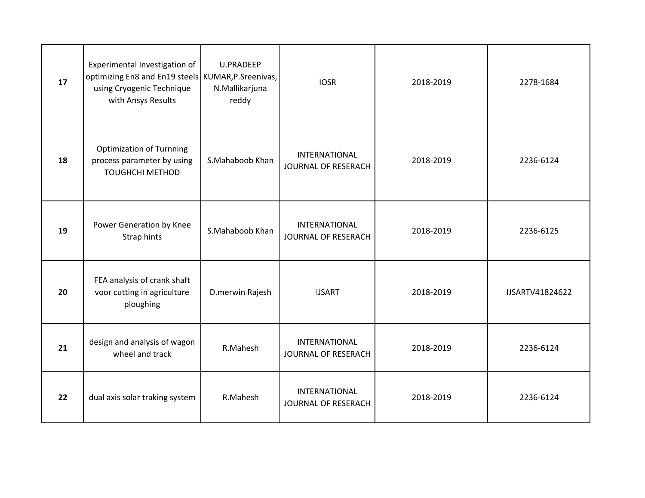| 17 | Experimental Investigation of<br>optimizing En8 and En19 steels KUMAR, P. Sreenivas,<br>using Cryogenic Technique<br>with Ansys Results | <b>U.PRADEEP</b><br>N.Mallikarjuna<br>reddy | <b>IOSR</b>                          | 2018-2019 | 2278-1684       |
|----|-----------------------------------------------------------------------------------------------------------------------------------------|---------------------------------------------|--------------------------------------|-----------|-----------------|
| 18 | <b>Optimization of Turnning</b><br>process parameter by using<br><b>TOUGHCHI METHOD</b>                                                 | S.Mahaboob Khan                             | INTERNATIONAL<br>JOURNAL OF RESERACH | 2018-2019 | 2236-6124       |
| 19 | Power Generation by Knee<br>Strap hints                                                                                                 | S.Mahaboob Khan                             | INTERNATIONAL<br>JOURNAL OF RESERACH | 2018-2019 | 2236-6125       |
| 20 | FEA analysis of crank shaft<br>voor cutting in agriculture<br>ploughing                                                                 | D.merwin Rajesh                             | <b>IJSART</b>                        | 2018-2019 | IJSARTV41824622 |
| 21 | design and analysis of wagon<br>wheel and track                                                                                         | R.Mahesh                                    | INTERNATIONAL<br>JOURNAL OF RESERACH | 2018-2019 | 2236-6124       |
| 22 | dual axis solar traking system                                                                                                          | R.Mahesh                                    | INTERNATIONAL<br>JOURNAL OF RESERACH | 2018-2019 | 2236-6124       |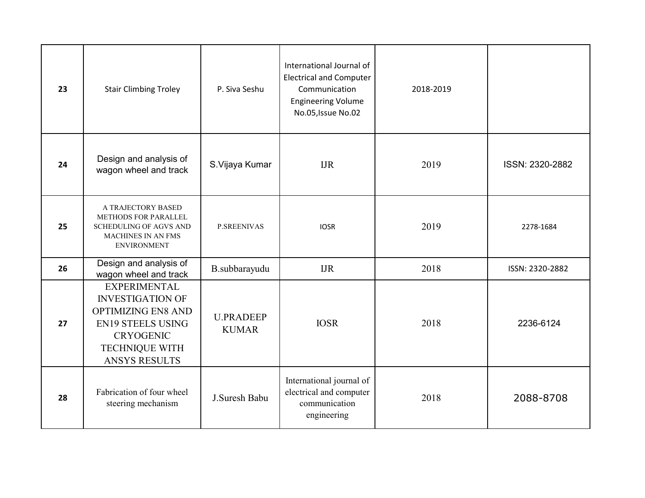| 23 | <b>Stair Climbing Troley</b>                                                                                                                                                 | P. Siva Seshu                    | International Journal of<br><b>Electrical and Computer</b><br>Communication<br><b>Engineering Volume</b><br>No.05, Issue No.02 | 2018-2019 |                 |
|----|------------------------------------------------------------------------------------------------------------------------------------------------------------------------------|----------------------------------|--------------------------------------------------------------------------------------------------------------------------------|-----------|-----------------|
| 24 | Design and analysis of<br>wagon wheel and track                                                                                                                              | S.Vijaya Kumar                   | <b>IJR</b>                                                                                                                     | 2019      | ISSN: 2320-2882 |
| 25 | A TRAJECTORY BASED<br>METHODS FOR PARALLEL<br>SCHEDULING OF AGVS AND<br>MACHINES IN AN FMS<br><b>ENVIRONMENT</b>                                                             | <b>P.SREENIVAS</b>               | <b>IOSR</b>                                                                                                                    | 2019      | 2278-1684       |
| 26 | Design and analysis of<br>wagon wheel and track                                                                                                                              | B.subbarayudu                    | <b>IJR</b>                                                                                                                     | 2018      | ISSN: 2320-2882 |
| 27 | <b>EXPERIMENTAL</b><br><b>INVESTIGATION OF</b><br><b>OPTIMIZING EN8 AND</b><br><b>EN19 STEELS USING</b><br><b>CRYOGENIC</b><br><b>TECHNIQUE WITH</b><br><b>ANSYS RESULTS</b> | <b>U.PRADEEP</b><br><b>KUMAR</b> | <b>IOSR</b>                                                                                                                    | 2018      | 2236-6124       |
| 28 | Fabrication of four wheel<br>steering mechanism                                                                                                                              | J.Suresh Babu                    | International journal of<br>electrical and computer<br>communication<br>engineering                                            | 2018      | 2088-8708       |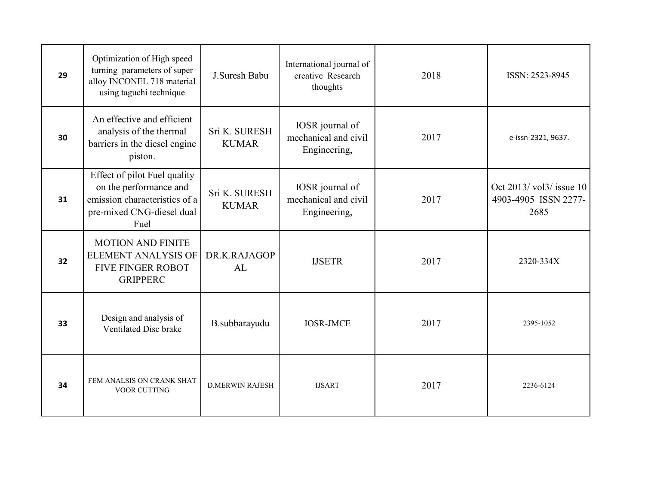| 29 | Optimization of High speed<br>turning parameters of super<br>alloy INCONEL 718 material<br>using taguchi technique           | J.Suresh Babu                 | International journal of<br>creative Research<br>thoughts | 2018 | ISSN: 2523-8945                                         |
|----|------------------------------------------------------------------------------------------------------------------------------|-------------------------------|-----------------------------------------------------------|------|---------------------------------------------------------|
| 30 | An effective and efficient<br>analysis of the thermal<br>barriers in the diesel engine<br>piston.                            | Sri K. SURESH<br><b>KUMAR</b> | IOSR journal of<br>mechanical and civil<br>Engineering,   | 2017 | e-issn-2321, 9637.                                      |
| 31 | Effect of pilot Fuel quality<br>on the performance and<br>emission characteristics of a<br>pre-mixed CNG-diesel dual<br>Fuel | Sri K. SURESH<br><b>KUMAR</b> | IOSR journal of<br>mechanical and civil<br>Engineering,   | 2017 | Oct 2013/vol3/ issue 10<br>4903-4905 ISSN 2277-<br>2685 |
| 32 | <b>MOTION AND FINITE</b><br><b>ELEMENT ANALYSIS OF</b><br><b>FIVE FINGER ROBOT</b><br><b>GRIPPERC</b>                        | DR.K.RAJAGOP<br>AL            | <b>IJSETR</b>                                             | 2017 | 2320-334X                                               |
| 33 | Design and analysis of<br>Ventilated Disc brake                                                                              | B.subbarayudu                 | <b>IOSR-JMCE</b>                                          | 2017 | 2395-1052                                               |
| 34 | FEM ANALSIS ON CRANK SHAT<br><b>VOOR CUTTING</b>                                                                             | <b>D.MERWIN RAJESH</b>        | <b>IJSART</b>                                             | 2017 | 2236-6124                                               |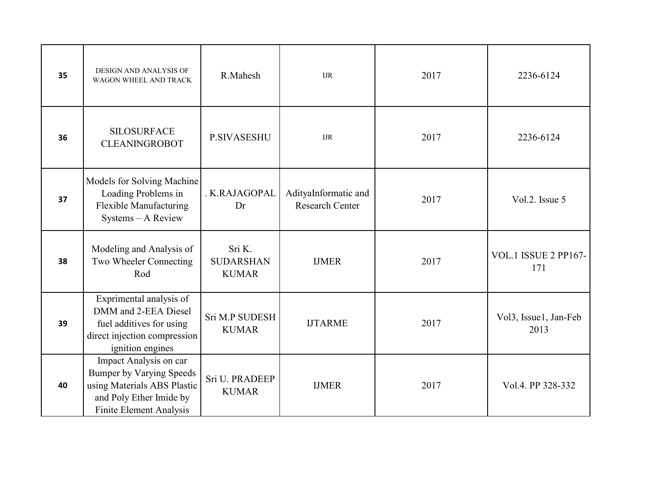| 35 | DESIGN AND ANALYSIS OF<br>WAGON WHEEL AND TRACK                                                                                                | R.Mahesh                                   | $_{\rm{IJR}}$                                  | 2017 | 2236-6124                     |
|----|------------------------------------------------------------------------------------------------------------------------------------------------|--------------------------------------------|------------------------------------------------|------|-------------------------------|
| 36 | <b>SILOSURFACE</b><br><b>CLEANINGROBOT</b>                                                                                                     | <b>P.SIVASESHU</b>                         | $_{\rm{IJR}}$                                  | 2017 | 2236-6124                     |
| 37 | Models for Solving Machine<br>Loading Problems in<br>Flexible Manufacturing<br>Systems - A Review                                              | . K.RAJAGOPAL<br>Dr                        | AdityaInformatic and<br><b>Research Center</b> | 2017 | Vol.2. Issue 5                |
| 38 | Modeling and Analysis of<br>Two Wheeler Connecting<br>Rod                                                                                      | Sri K.<br><b>SUDARSHAN</b><br><b>KUMAR</b> | <b>IJMER</b>                                   | 2017 | VOL.1 ISSUE 2 PP167-<br>171   |
| 39 | Exprimental analysis of<br>DMM and 2-EEA Diesel<br>fuel additives for using<br>direct injection compression<br>ignition engines                | Sri M.P SUDESH<br><b>KUMAR</b>             | <b>IJTARME</b>                                 | 2017 | Vol3, Issue1, Jan-Feb<br>2013 |
| 40 | Impact Analysis on car<br><b>Bumper by Varying Speeds</b><br>using Materials ABS Plastic<br>and Poly Ether Imide by<br>Finite Element Analysis | Sri U. PRADEEP<br><b>KUMAR</b>             | <b>IJMER</b>                                   | 2017 | Vol.4. PP 328-332             |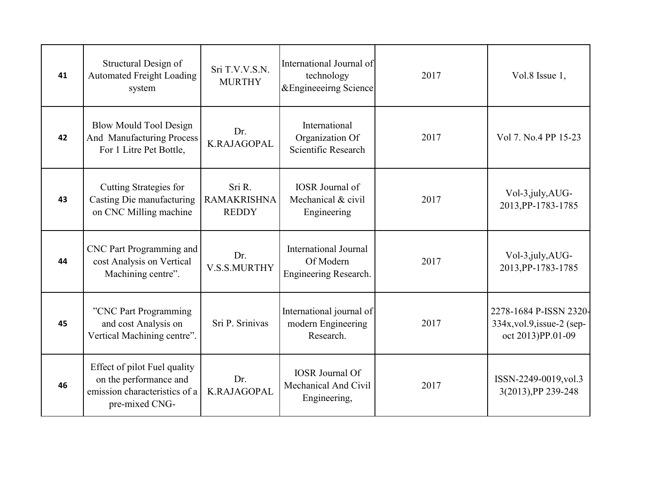| 41 | Structural Design of<br><b>Automated Freight Loading</b><br>system                                        | Sri T.V.V.S.N.<br><b>MURTHY</b>              | International Journal of<br>technology<br>&Engineeeirng Science    | 2017 | Vol.8 Issue 1,                                                            |
|----|-----------------------------------------------------------------------------------------------------------|----------------------------------------------|--------------------------------------------------------------------|------|---------------------------------------------------------------------------|
| 42 | <b>Blow Mould Tool Design</b><br>And Manufacturing Process<br>For 1 Litre Pet Bottle,                     | Dr.<br>K.RAJAGOPAL                           | International<br>Organization Of<br>Scientific Research            | 2017 | Vol 7. No.4 PP 15-23                                                      |
| 43 | Cutting Strategies for<br>Casting Die manufacturing<br>on CNC Milling machine                             | Sri R.<br><b>RAMAKRISHNA</b><br><b>REDDY</b> | <b>IOSR</b> Journal of<br>Mechanical & civil<br>Engineering        | 2017 | Vol-3, july, AUG-<br>2013, PP-1783-1785                                   |
| 44 | CNC Part Programming and<br>cost Analysis on Vertical<br>Machining centre".                               | Dr.<br>V.S.S.MURTHY                          | <b>International Journal</b><br>Of Modern<br>Engineering Research. | 2017 | Vol-3, july, AUG-<br>2013, PP-1783-1785                                   |
| 45 | "CNC Part Programming<br>and cost Analysis on<br>Vertical Machining centre".                              | Sri P. Srinivas                              | International journal of<br>modern Engineering<br>Research.        | 2017 | 2278-1684 P-ISSN 2320-<br>334x, vol.9, issue-2 (sep-<br>oct 2013)PP.01-09 |
| 46 | Effect of pilot Fuel quality<br>on the performance and<br>emission characteristics of a<br>pre-mixed CNG- | Dr.<br>K.RAJAGOPAL                           | <b>IOSR</b> Journal Of<br>Mechanical And Civil<br>Engineering,     | 2017 | ISSN-2249-0019, vol.3<br>3(2013), PP 239-248                              |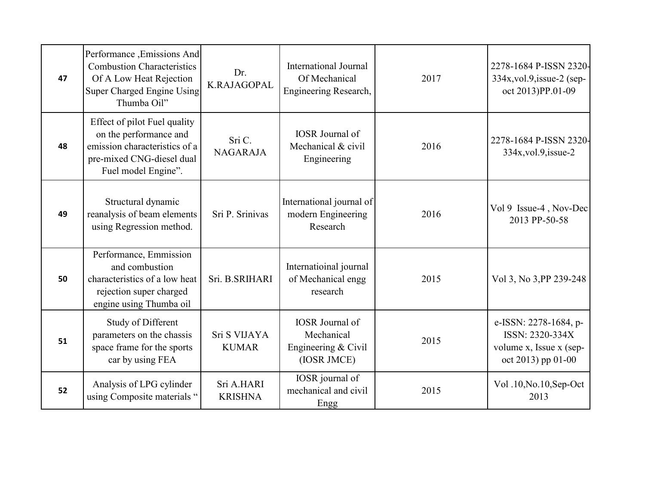| 47 | Performance , Emissions And<br><b>Combustion Characteristics</b><br>Of A Low Heat Rejection<br>Super Charged Engine Using<br>Thumba Oil"    | Dr.<br>K.RAJAGOPAL           | <b>International Journal</b><br>Of Mechanical<br>Engineering Research,       | 2017 | 2278-1684 P-ISSN 2320-<br>$334x$ , vol.9, issue-2 (sep-<br>oct 2013)PP.01-09              |
|----|---------------------------------------------------------------------------------------------------------------------------------------------|------------------------------|------------------------------------------------------------------------------|------|-------------------------------------------------------------------------------------------|
| 48 | Effect of pilot Fuel quality<br>on the performance and<br>emission characteristics of a<br>pre-mixed CNG-diesel dual<br>Fuel model Engine". | Sri C.<br><b>NAGARAJA</b>    | <b>IOSR</b> Journal of<br>Mechanical & civil<br>Engineering                  | 2016 | 2278-1684 P-ISSN 2320-<br>$334x$ , vol.9, issue-2                                         |
| 49 | Structural dynamic<br>reanalysis of beam elements<br>using Regression method.                                                               | Sri P. Srinivas              | International journal of<br>modern Engineering<br>Research                   | 2016 | Vol 9 Issue-4, Nov-Dec<br>2013 PP-50-58                                                   |
| 50 | Performance, Emmission<br>and combustion<br>characteristics of a low heat<br>rejection super charged<br>engine using Thumba oil             | Sri. B.SRIHARI               | Internatioinal journal<br>of Mechanical engg<br>research                     | 2015 | Vol 3, No 3, PP 239-248                                                                   |
| 51 | Study of Different<br>parameters on the chassis<br>space frame for the sports<br>car by using FEA                                           | Sri S VIJAYA<br><b>KUMAR</b> | <b>IOSR</b> Journal of<br>Mechanical<br>Engineering $& Civil$<br>(IOSR JMCE) | 2015 | e-ISSN: 2278-1684, p-<br>ISSN: 2320-334X<br>volume x, Issue x (sep-<br>oct 2013) pp 01-00 |
| 52 | Analysis of LPG cylinder<br>using Composite materials "                                                                                     | Sri A.HARI<br><b>KRISHNA</b> | IOSR journal of<br>mechanical and civil<br>Engg                              | 2015 | Vol .10, No.10, Sep-Oct<br>2013                                                           |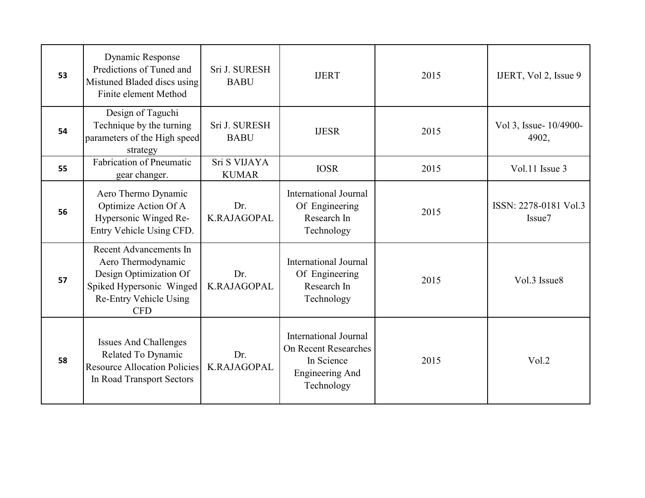| 53 | Dynamic Response<br>Predictions of Tuned and<br>Mistuned Bladed discs using<br>Finite element Method                                       | Sri J. SURESH<br><b>BABU</b> | <b>IJERT</b>                                                                                               | 2015 | IJERT, Vol 2, Issue 9                       |
|----|--------------------------------------------------------------------------------------------------------------------------------------------|------------------------------|------------------------------------------------------------------------------------------------------------|------|---------------------------------------------|
| 54 | Design of Taguchi<br>Technique by the turning<br>parameters of the High speed<br>strategy                                                  | Sri J. SURESH<br><b>BABU</b> | <b>IJESR</b>                                                                                               | 2015 | Vol 3, Issue- 10/4900-<br>4902,             |
| 55 | <b>Fabrication of Pneumatic</b><br>gear changer.                                                                                           | Sri S VIJAYA<br><b>KUMAR</b> | <b>IOSR</b>                                                                                                | 2015 | Vol.11 Issue 3                              |
| 56 | Aero Thermo Dynamic<br>Optimize Action Of A<br>Hypersonic Winged Re-<br>Entry Vehicle Using CFD.                                           | Dr.<br>K.RAJAGOPAL           | <b>International Journal</b><br>Of Engineering<br>Research In<br>Technology                                | 2015 | ISSN: 2278-0181 Vol.3<br>Issue <sub>7</sub> |
| 57 | Recent Advancements In<br>Aero Thermodynamic<br>Design Optimization Of<br>Spiked Hypersonic Winged<br>Re-Entry Vehicle Using<br><b>CFD</b> | Dr.<br>K.RAJAGOPAL           | <b>International Journal</b><br>Of Engineering<br>Research In<br>Technology                                | 2015 | Vol.3 Issue8                                |
| 58 | <b>Issues And Challenges</b><br>Related To Dynamic<br><b>Resource Allocation Policies</b><br>In Road Transport Sectors                     | Dr.<br>K.RAJAGOPAL           | <b>International Journal</b><br><b>On Recent Researches</b><br>In Science<br>Engineering And<br>Technology | 2015 | Vol.2                                       |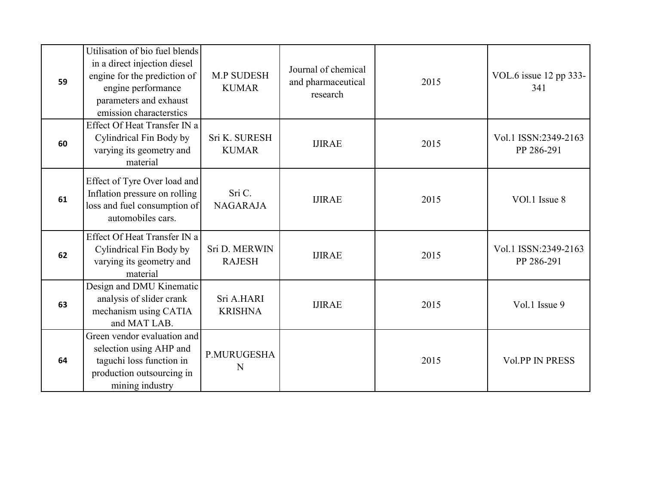| 59 | Utilisation of bio fuel blends<br>in a direct injection diesel<br>engine for the prediction of<br>engine performance<br>parameters and exhaust<br>emission characterstics | <b>M.P SUDESH</b><br><b>KUMAR</b> | Journal of chemical<br>and pharmaceutical<br>research | 2015 | VOL.6 issue 12 pp 333-<br>341      |
|----|---------------------------------------------------------------------------------------------------------------------------------------------------------------------------|-----------------------------------|-------------------------------------------------------|------|------------------------------------|
| 60 | Effect Of Heat Transfer IN a<br>Cylindrical Fin Body by<br>varying its geometry and<br>material                                                                           | Sri K. SURESH<br><b>KUMAR</b>     | <b>IJIRAE</b>                                         | 2015 | Vol.1 ISSN:2349-2163<br>PP 286-291 |
| 61 | Effect of Tyre Over load and<br>Inflation pressure on rolling<br>loss and fuel consumption of<br>automobiles cars.                                                        | Sri C.<br><b>NAGARAJA</b>         | <b>IJIRAE</b>                                         | 2015 | VOl.1 Issue 8                      |
| 62 | Effect Of Heat Transfer IN a<br>Cylindrical Fin Body by<br>varying its geometry and<br>material                                                                           | Sri D. MERWIN<br><b>RAJESH</b>    | <b>IJIRAE</b>                                         | 2015 | Vol.1 ISSN:2349-2163<br>PP 286-291 |
| 63 | Design and DMU Kinematic<br>analysis of slider crank<br>mechanism using CATIA<br>and MAT LAB.                                                                             | Sri A.HARI<br><b>KRISHNA</b>      | <b>IJIRAE</b>                                         | 2015 | Vol.1 Issue 9                      |
| 64 | Green vendor evaluation and<br>selection using AHP and<br>taguchi loss function in<br>production outsourcing in<br>mining industry                                        | P.MURUGESHA<br>N                  |                                                       | 2015 | <b>Vol.PP IN PRESS</b>             |